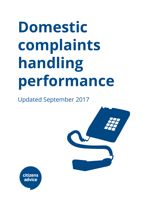# **Domestic complaints handling performance**

Updated September 2017



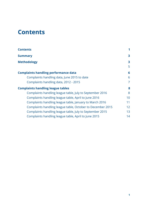# <span id="page-1-0"></span>**Contents**

| <b>Contents</b>                                            |                   |
|------------------------------------------------------------|-------------------|
| <b>Summary</b>                                             | 3                 |
| <b>Methodology</b>                                         | 3                 |
|                                                            | 5                 |
| <b>Complaints handling performance data</b>                | 6                 |
| Complaints handling data, June 2015 to date                | 6                 |
| Complaints handling data, 2012 - 2015                      | 7                 |
| <b>Complaints handling league tables</b>                   | 8                 |
| Complaints handling league table, July to September 2016   | 8                 |
| Complaints handling league table, April to June 2016       | 10                |
| Complaints handling league table, January to March 2016    | 11                |
| Complaints handling league table, October to December 2015 | $12 \overline{ }$ |
| Complaints handling league table, July to September 2015   | 13                |
| Complaints handling league table, April to June 2015       | 14                |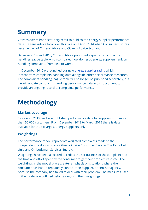# <span id="page-2-1"></span>**Summary**

Citizens Advice has a statutory remit to publish the energy supplier performance data. Citizens Advice took over this role on 1 April 2014 when Consumer Futures became part of Citizens Advice and Citizens Advice Scotland.

Between 2014 and 2016, Citizens Advice published a quarterly complaints handling league table which compared how domestic energy suppliers rank on handling complaints from best to worst.

In December 2016 we launched our new [energy supplier rating](https://www.citizensadvice.org.uk/about-us/how-citizens-advice-works/citizens-advice-consumer-work/supplier-performance/energy-supplier-performance/compare-domestic-energy-suppliers-customer-service/) which incorporates complaints handling data alongside other performance measures. The complaints handling league table will no longer be published separately, but we will update complaints handling performance data in this document to provide an ongoing record of complaints performance.

# <span id="page-2-0"></span>**Methodology**

#### **Market coverage**

Since April 2015, we have published performance data for suppliers with more than 50,000 customers. From December 2012 to March 2015 there is data available for the six largest energy suppliers only.

## **Weightings**

The performance model represents weighted complaints made to the independent bodies, who are Citizens Advice Consumer Service, The Extra Help Unit, and Ombudsman Services:Energy.

Weightings have been allocated to reflect the seriousness of the complaint and the time and effort spent by the consumer to get their problem resolved. The weightings in the model place greater emphasis on situations where the consumer has had to repeatedly contact their supplier, or another agency, because the company had failed to deal with their problem. The measures used in the model are outlined below along with their weightings.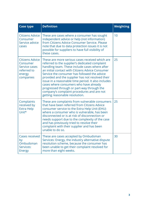| <b>Case type</b>                                                                                 | <b>Definition</b>                                                                                                                                                                                                                                                                                                                                                                                                                                                                                                                          | <b>Weighting</b> |
|--------------------------------------------------------------------------------------------------|--------------------------------------------------------------------------------------------------------------------------------------------------------------------------------------------------------------------------------------------------------------------------------------------------------------------------------------------------------------------------------------------------------------------------------------------------------------------------------------------------------------------------------------------|------------------|
| <b>Citizens Advice</b><br>Consumer<br>Service advice<br>cases                                    | These are cases where a consumer has sought<br>independent advice or help (not information)<br>from Citizens Advice Consumer Service, Please<br>note that due to data protection issues it is not<br>possible for suppliers to have full visibility of<br>these cases.                                                                                                                                                                                                                                                                     | 10               |
| <b>Citizens Advice</b><br>Consumer<br><b>Service cases</b><br>referred to<br>energy<br>companies | These are more serious cases received which are<br>referred to the supplier's dedicated complaint<br>handling team. These include cases where after<br>an initial contact with Citizens Advice Consumer<br>Service the consumer has followed the advice<br>provided and the supplier has not resolved their<br>issue in a reasonable time period. It also includes<br>cases where consumers who have already<br>progressed through or part-way through the<br>company's complaint procedures and are not<br>getting reasonable resolution. | 25               |
| Complaints<br>received by<br><b>Extra Help</b><br>Unit*                                          | These are complaints from vulnerable consumers<br>that have been referred from Citizens Advice<br>consumer service to the Extra Help Unit (EHU)<br>where a consumer who is vulnerable, has been<br>disconnected or is at risk of disconnection or<br>needs support due to the complexity of the case<br>and has previously tried to resolve their<br>complaint with their supplier and has been<br>unable to do so.                                                                                                                        | 25               |
| <b>Cases received</b><br>by<br>Ombudsman<br>Services:<br><b>Energy</b>                           | These are cases accepted by Ombudsman<br>Services: Energy, the industry alternative dispute<br>resolution scheme, because the consumer has<br>been unable to get their complaint resolved for<br>more than eight weeks.                                                                                                                                                                                                                                                                                                                    | 30               |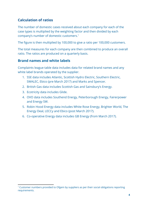## **Calculation of ratios**

The number of domestic cases received about each company for each of the case types is multiplied by the weighting factor and then divided by each company's number of domestic customers.<sup>1</sup>

The figure is then multiplied by 100,000 to give a ratio per 100,000 customers.

The total measures for each company are then combined to produce an overall ratio. The ratios are produced on a quarterly basis.

#### <span id="page-4-0"></span>**Brand names and white labels**

Complaints league table data includes data for related brand names and any white label brands operated by the supplier.

- 1. SSE data includes Atlantic, Scottish Hydro Electric, Southern Electric, SWALEC, Ebico (pre March 2017) and Marks and Spencer.
- 2. British Gas data includes Scottish Gas and Sainsbury's Energy.
- 3. Ecotricity data includes Glide.
- 4. OVO data includes Southend Energy, Peterborough Energy, Fairerpower and Energy SW.
- 5. Robin Hood Energy data includes White Rose Energy, Brighter World, The Energy Deal, LECCy and Ebico (post March 2017).
- 6. Co-operative Energy data includes GB Energy (from March 2017).

<sup>1</sup> Customer numbers provided to Ofgem by suppliers as per their social obligations reporting requirements.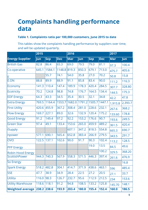# **Complaints handling performance data**

#### **Table 1. Complaints ratio per 100,000 customers, June 2015 to date**

This tables show the complaints handling performance by suppliers over time, and will be updated quarterly.

|                          | 2015  |            |        | 2016       |        |            |            | 2017       |            |
|--------------------------|-------|------------|--------|------------|--------|------------|------------|------------|------------|
| <b>Energy Supplier</b>   | Jun   | <b>Sep</b> | Dec    | <b>Mar</b> | Jun    | <b>Sep</b> | <b>Dec</b> | <b>Mar</b> | <b>Jun</b> |
| <b>British Gas</b>       | 82.8  | 86.4       | 65.3   | 69.0       | 79.5   | 79.0       | 81.1       | 97.3       | 100.4      |
| Co-operative             | 645.1 | 1584.1     | 1148.8 | 819.3      | 850.3  | 679.1      | 713.0      | 475.7      | 405.6      |
| ΙE                       |       | 55.7       | 74.1   | 54.0       | 35.8   | 27.0       | 70.2       | 50.8       | 15.8       |
| E.ON                     | 88.8  | 89.9       | 88.9   | 91.1       | 85.8   | 83.4       | 90.0       | 111.2      | 116.3      |
| Economy                  | 141.3 | 110.4      | 147.4  | 189.9      | 178.3  | 420.4      | 284.5      | 307.7      | 328.80     |
| Ecotricity               | 70.2  | 124.8      | 98.8   | 74.8       | 176.7  | 164.5      | 134.4      | 144.5      | 175.3      |
| <b>EDF</b> Energy        | 64.3  | 43.3       | 34.5   | 35.4       | 30.5   | 32.1       | 34.8       | 42.2       | 47.8       |
| <b>Extra Energy</b>      | 769.5 | 1164.4     | 1553.7 | 1682.0     | 1791.2 | 1505.7     | 1447.1     | 1,915.8    | 2,393.7    |
| <b>First Utility</b>     | 420.6 | 455.9      | 367.2  | 308.4      | 281.0  | 228.6      | 232.1      | 267.6      | 368.2      |
| <b>Flow Energy</b>       | 169.7 | 227.1      | 89.0   | 32.6       | 132.9  | 120.4      | 175.2      | 133.60     | 178.8      |
| <b>Good Energy</b>       | 91.2  | 149.4      | 97.2   | 92.2       | 153.2  | 176.6      | 90.7       | 193.6      | 249.5      |
| <b>Green Star</b>        | 97.4  | 49.1       | 133.4  | 153.6      | 265.0  | 459.9      | 489.2      | 361.5      | 420.4      |
| <b>iSupply</b>           |       |            |        | 607.1      | 347.2  | 818.5      | 554.8      | 665.3      | 690.7      |
| npower                   | 577.1 | 690.1      | 565.4  | 652.8      | 383.4  | 266.9      | 279.5      | 343.5      | 291.7      |
| <b>OVO</b>               | 122.5 | 137.1      | 102.6  | 90.0       | 91.7   | 90.3       | 102.4      | 113.2      | 128.5      |
| <b>PFP Energy</b>        |       |            |        |            |        | 19.0       | 13.5       | 84.5       | 49.6       |
| <b>Robin Hood Energy</b> |       |            |        |            |        |            | 100.2      | 329.5      | 368.20     |
| ScottishPower            | 944.3 | 740.3      | 567.9  | 558.3      | 571.5  | 446.3      | 397.4      | 261.6      | 476.9      |
| So Energy                |       |            |        |            |        |            |            |            | 16.8       |
| Spark Energy             | 518.2 | 482.8      | 304.1  | 414.7      | 371.9  | 438.6      | 463.1      | 596        | 485.4      |
| <b>SSE</b>               | 47.7  | 38.9       | 34.9   | 28.4       | 22.5   | 27.2       | 20.5       | 27.1       | 33.7       |
| Utilita                  | 116.0 | 98.3       | 126.7  | 232.7      | 95.6   | 112.9      | 212.5      | 234        | 153.6      |
| <b>Utility Warehouse</b> | 118.6 | 118.1      | 91.2   | 94.8       | 108.5  | 133.2      | 125.8      | 145.70     | 148.1      |
| <b>Weighted average</b>  | 238.2 | 238.6      | 193.9  | 203.4      | 180.8  | 155.4      | 152.4      | 160.0      | 186.5      |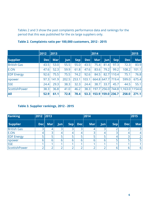Tables 2 and 3 show the past complaints performance data and rankings for the period that this was published for the six large suppliers only.

|                    | 2012       | 2013       |       |            | 2014       |            |            | 2015              |                                  |            |
|--------------------|------------|------------|-------|------------|------------|------------|------------|-------------------|----------------------------------|------------|
| <b>Supplier</b>    | <b>Dec</b> | <b>Mar</b> | Jun   | <b>Sep</b> | <b>Dec</b> | <b>Mar</b> | <b>Jun</b> | <b>Sep</b>        | <b>Dec</b>                       | <b>Mar</b> |
| <b>British Gas</b> | 43.5       | 53.0       | 55.5  | 55.0       | 43.5       | 75.4       | 81.4       | 97.3              | 72.3                             | 83.9       |
| E.ON               | 47.6       | 52.3       | 59.9  | 61.8       | 47.6       | 83.6       | 79.2       | 99.2              | 108.2                            | 101.1      |
| <b>EDF</b> Energy  | 92.6       | 75.5       | 75.5  | 74.2       | 92.6       | 84.5       | 82.7       | 110.4             | 75.1                             | 76.8       |
| <b>Inpower</b>     | 97.3       | 141.9      | 202.5 | 253.1      | 103.1      |            |            | 664.8 647.7 719.4 | 599.0                            | 675.4      |
| <b>SSE</b>         | 24.4       | 29.3       | 38.3  | 32.3       | 24.4       | 38.7       | 33.7       | 45.7              | 44.5                             | 55.1       |
| ScottishPower      | 38.3       | 36.8       | 41.0  | 46.2       | 38.3       |            |            |                   | 197.7 256.0 744.8 1,163.0 1154.6 |            |
| <b>AII</b>         | 52.9       | 61.1       | 72.8  | 78.4       | 53.3       |            |            | 153.9 159.0 236.7 | 258.0                            | 271.1      |

#### <span id="page-6-0"></span>**Table 2. Complaints ratio per 100,000 customers, 2012 - 2015**

#### **Table 3. Supplier rankings, 2012 - 2015**

| <b>Ranking</b>     | $ 2012 $ 2013 |     |            |            |            | 2014 |            |            |            | 2015           |
|--------------------|---------------|-----|------------|------------|------------|------|------------|------------|------------|----------------|
| <b>Supplier</b>    | <b>Dec</b>    | Mar | <b>Jun</b> | <b>Sep</b> | <b>Dec</b> | Mar  | <b>Jun</b> | <b>Sep</b> | <b>Dec</b> | <b>Mar</b>     |
| <b>British Gas</b> |               |     | 3          | 3          | っ          | 4    | 3          |            |            | 3 <sup>1</sup> |
| E.ON               |               |     | 4          | 4          |            |      |            |            |            | 4              |
| <b>EDF Energy</b>  |               |     |            |            |            |      |            |            |            |                |
| Inpower            |               |     | 6          | h          |            | h    | b          |            |            | 5              |
| <b>SSE</b>         |               |     |            |            |            |      |            |            |            |                |
| ScottishPower      |               |     | ⌒          |            |            |      |            |            |            | $6 \mid$       |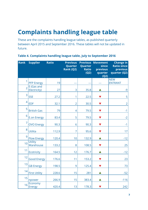# <span id="page-7-1"></span>**Complaints handling league table**

These are the complaints handling league tables, as published quarterly between April 2015 and September 2016. These tables will not be updated in future.

| <b>Rank</b>    | <b>Supplier</b>             | <b>Ratio</b> | <b>Previous</b><br>Quarter<br>Rank (Q2) | <b>Previous</b><br>Quarter<br><b>Ratio</b><br>(Q2) | <b>Movement</b><br>since<br>previous<br>quarter<br>(Q2) | <b>Change in</b><br><b>Ratio since</b><br>previous<br>quarter (Q2) |
|----------------|-----------------------------|--------------|-----------------------------------------|----------------------------------------------------|---------------------------------------------------------|--------------------------------------------------------------------|
| 1              | <b>PFP Energy</b>           | 19           |                                         |                                                    |                                                         | <b>NEW</b><br><b>ENTRANT</b>                                       |
| $\overline{2}$ | E (Gas and<br>Electricity)  | 27           | 3                                       | 35.8                                               |                                                         | $-9$                                                               |
| 3              | <b>SSE</b>                  | 27.2         | 1                                       | 22.5                                               |                                                         | 5                                                                  |
| $\overline{4}$ | <b>EDF</b>                  | 32.1         | $\overline{2}$                          | 30.5                                               |                                                         | $\overline{2}$                                                     |
| 5              | <b>British Gas</b>          | 79           | 4                                       | 79.5                                               |                                                         | $-1$                                                               |
| 6              | <b>E.on Energy</b>          | 83.4         | 5                                       | 79.5                                               |                                                         | $-2$                                                               |
| $\overline{7}$ | <b>OVO Energy</b>           | 90.3         | 6                                       | 90.3                                               |                                                         | $-1$                                                               |
| 8              | Utilita                     | 112.9        | 7                                       | 95.6                                               |                                                         | 17                                                                 |
| 9              | <b>Flow Energy</b>          | 120.4        | 10                                      | 132.9                                              |                                                         | $-12$                                                              |
| 10             | <b>Utility</b><br>Warehouse | 133.2        | 8                                       | 108.5                                              |                                                         | 25                                                                 |
| 11             | <b>Ecotricity</b>           | 164.5        | 12                                      | 176.7                                              |                                                         | $-12$                                                              |
| 12             | <b>Good Energy</b>          | 176.6        | 11                                      | 153.2                                              | $\blacktriangledown$                                    | 23                                                                 |
| 13             | <b>GB Energy</b>            | 198.5        | 9                                       | 125.4                                              |                                                         | 73                                                                 |
| 14             | <b>First Utility</b>        | 228.6        | 15                                      | 281                                                |                                                         | $-52$                                                              |
| 15             | npower                      | 266.9        | 15                                      | 383.4                                              |                                                         | $-116$                                                             |
| 16             | Economy<br><b>Energy</b>    | 420.4        | 13                                      | 178.3                                              |                                                         | 242                                                                |

#### <span id="page-7-0"></span>**Table 4. Complaints handling league table, July to September 2016**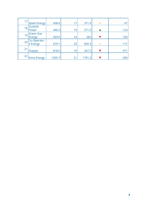| 17 | Spark Energy                | 438.6  | 17 | 371.9  | $\blacktriangleleft$ | 67     |
|----|-----------------------------|--------|----|--------|----------------------|--------|
| 18 | Scottish<br>Power           | 446.3  | 19 | 571.5  |                      | $-125$ |
| 19 | <b>Green Star</b><br>Energy | 459.9  | 14 | 265    |                      | 195    |
| 20 | Co-Operativ<br>e Energy     | 679.1  | 20 | 850.3  | $\blacktriangleleft$ | $-171$ |
| 21 | <b>iSupply</b>              | 818.5  | 16 | 347.2  |                      | 471    |
| 22 | <b>Extra Energy</b>         | 1505.7 | 21 | 1791.2 |                      | $-285$ |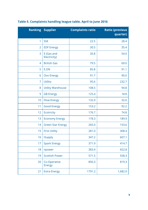|                | <b>Ranking Supplier</b>       | <b>Complaints ratio</b> | <b>Ratio (previous</b><br>quarter) |
|----------------|-------------------------------|-------------------------|------------------------------------|
| $\mathbf{1}$   | <b>SSE</b>                    | 22.5                    | 28.4                               |
| $\overline{2}$ | <b>EDF Energy</b>             | 30.5                    | 35.4                               |
| 3              | E (Gas and<br>Electricity)    | 35.8                    | 54.0                               |
| $\overline{4}$ | <b>British Gas</b>            | 79.5                    | 69.0                               |
| 5              | E.ON                          | 85.8                    | 91.1                               |
| 6              | <b>Ovo Energy</b>             | 91.7                    | 90.0                               |
| $\overline{7}$ | <b>Utilita</b>                | 95.6                    | 232.7                              |
| 8              | <b>Utility Warehouse</b>      | 108.5                   | 94.8                               |
| 9              | <b>GB Energy</b>              | 125.4                   | N/A                                |
| 10             | <b>Flow Energy</b>            | 132.9                   | 32.6                               |
| 11             | <b>Good Energy</b>            | 153.2                   | 92.2                               |
| 12             | <b>Ecotricity</b>             | 176.7                   | 74.8                               |
| 13             | <b>Economy Energy</b>         | 178.3                   | 189.9                              |
| 14             | <b>Green Star Energy</b>      | 265.0                   | 153.6                              |
| 15             | <b>First Utility</b>          | 281.0                   | 308.4                              |
| 16             | iSupply                       | 347.2                   | 607.1                              |
| 17             | <b>Spark Energy</b>           | 371.9                   | 414.7                              |
| 18             | npower                        | 383.4                   | 652.8                              |
| 19             | <b>Scottish Power</b>         | 571.5                   | 558.3                              |
| 20             | Co-Operative<br><b>Energy</b> | 850.3                   | 819.3                              |
| 21             | <b>Extra Energy</b>           | 1791.2                  | 1,682.0                            |

## <span id="page-9-0"></span>**Table 5. Complaints handling league table, April to June 2016**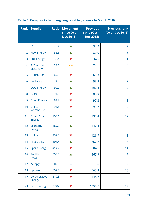|                | <b>Rank Supplier</b>               | <b>Ratio</b> | <b>Movement</b><br>since Oct -<br><b>Dec 2015</b> | <b>Previous</b><br>ratio (Oct -<br><b>Dec 2015)</b> | <b>Previous rank</b><br>(Oct - Dec 2015) |
|----------------|------------------------------------|--------------|---------------------------------------------------|-----------------------------------------------------|------------------------------------------|
| 1              | <b>SSE</b>                         | 28.4         |                                                   | 34.9                                                | $\overline{2}$                           |
| $\overline{2}$ | <b>Flow Energy</b>                 | 32.6         |                                                   | 89.0                                                | 6                                        |
| 3              | <b>EDF Energy</b>                  | 35.4         | $\blacktriangledown$                              | 34.5                                                | $\mathbf{1}$                             |
| 4              | E (Gas and<br>Electricity)         | 54.0         | $\blacktriangleleft$                              | 74.1                                                | 4                                        |
| 5              | <b>British Gas</b>                 | 69.0         |                                                   | 65.3                                                | 3                                        |
| 6              | <b>Ecotricity</b>                  | 74.8         |                                                   | 98.8                                                | 9                                        |
| $\overline{7}$ | <b>OVO Energy</b>                  | 90.0         |                                                   | 102.6                                               | 10                                       |
| 8              | E.ON                               | 91.1         |                                                   | 88.9                                                | 5                                        |
| 9              | <b>Good Energy</b>                 | 92.2         |                                                   | 97.2                                                | 8                                        |
| 10             | <b>Utility</b><br>Warehouse        | 94.8         |                                                   | 91.2                                                | $\overline{7}$                           |
| 11             | <b>Green Star</b><br><b>Energy</b> | 153.6        |                                                   | 133.4                                               | 12                                       |
| 12             | Economy<br><b>Energy</b>           | 189.9        |                                                   | 147.4                                               | 13                                       |
| 13             | Utilita                            | 232.7        |                                                   | 126.7                                               | 11                                       |
| 14             | <b>First Utility</b>               | 308.4        |                                                   | 367.2                                               | 15                                       |
| 15             | <b>Spark Energy</b>                | 414.7        |                                                   | 304.1                                               | 14                                       |
| 16             | Scottish<br>Power                  | 558.3        |                                                   | 567.9                                               | 17                                       |
| 17             | <b>iSupply</b>                     | 607.1        |                                                   | --                                                  |                                          |
| 18             | npower                             | 652.8        | v                                                 | 565.4                                               | 16                                       |
| 19             | Co-Operative<br><b>Energy</b>      | 819.3        |                                                   | 1148.8                                              | 18                                       |
| 20             | <b>Extra Energy</b>                | 1682         |                                                   | 1553.7                                              | 19                                       |

## <span id="page-10-0"></span>**Table 6. Complaints handling league table, January to March 2016**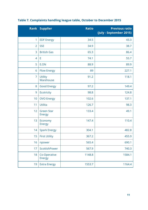|                 | <b>Rank Supplier</b>               | <b>Ratio</b> | <b>Previous ratio</b><br>(July - September 2015) |
|-----------------|------------------------------------|--------------|--------------------------------------------------|
| 1               | <b>EDF Energy</b>                  | 34.5         | 43.3                                             |
| $\overline{2}$  | <b>SSE</b>                         | 34.9         | 38.7                                             |
| 3               | <b>British Gas</b>                 | 65.3         | 86.4                                             |
| 4               | E                                  | 74.1         | 55.7                                             |
| 5               | E.ON                               | 88.9         | 89.9                                             |
| 6               | <b>Flow Energy</b>                 | 89           | 227.1                                            |
| $\overline{7}$  | <b>Utility</b><br>Warehouse        | 91.2         | 118.1                                            |
| 8               | <b>Good Energy</b>                 | 97.2         | 149.4                                            |
| 9               | <b>Ecotricity</b>                  | 98.8         | 124.8                                            |
| 10              | <b>OVO Energy</b>                  | 102.6        | 137.1                                            |
| 11              | <b>Utilita</b>                     | 126.7        | 98.3                                             |
| 12              | <b>Green Star</b><br><b>Energy</b> | 133.4        | 49.1                                             |
| 13              | Economy<br><b>Energy</b>           | 147.4        | 110.4                                            |
| 14              | <b>Spark Energy</b>                | 304.1        | 482.8                                            |
| 15 <sub>1</sub> | <b>First Utility</b>               | 367.2        | 455.9                                            |
| 16              | npower                             | 565.4        | 690.1                                            |
| 17              | ScottishPower                      | 567.9        | 740.3                                            |
| 18              | Co-Operative<br><b>Energy</b>      | 1148.8       | 1584.1                                           |
| 19              | <b>Extra Energy</b>                | 1553.7       | 1164.4                                           |

## <span id="page-11-0"></span>**Table 7. Complaints handling league table, October to December 2015**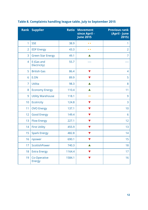|                | <b>Rank Supplier</b>          | <b>Ratio</b> | <b>Movement</b><br>since April -<br><b>June 2015</b> | <b>Previous rank</b><br>(April - June<br>2015) |
|----------------|-------------------------------|--------------|------------------------------------------------------|------------------------------------------------|
| 1              | <b>SSE</b>                    | 38.9         | $\rightarrow$                                        | 1                                              |
| $\overline{2}$ | <b>EDF Energy</b>             | 43.3         | $\blacksquare$                                       | $\overline{2}$                                 |
| 3              | <b>Green Star Energy</b>      | 49.1         |                                                      | 7                                              |
| 4              | E (Gas and<br>Electricity)    | 55.7         |                                                      |                                                |
| 5              | <b>British Gas</b>            | 86.4         | $\blacktriangledown$                                 | 4                                              |
| 6              | E.ON                          | 89.9         | $\blacktriangledown$                                 | 5                                              |
| $\overline{7}$ | Utilita                       | 98.3         |                                                      | 8                                              |
| 8              | <b>Economy Energy</b>         | 110.4        |                                                      | 11                                             |
| 9              | <b>Utility Warehouse</b>      | 118.1        | ◆                                                    | 9                                              |
| 10             | Ecotricity                    | 124.8        |                                                      | 3                                              |
| 11             | <b>OVO Energy</b>             | 137.1        |                                                      | 10                                             |
| 12             | <b>Good Energy</b>            | 149.4        | V                                                    | 6                                              |
| 13             | <b>Flow Energy</b>            | 227.1        | V                                                    | 12                                             |
| 14             | <b>First Utility</b>          | 455.9        |                                                      | 13                                             |
| 15             | <b>Spark Energy</b>           | 482.8        |                                                      | 14                                             |
| 16             | npower                        | 690.1        |                                                      | 15                                             |
| 17             | ScottishPower                 | 740.3        |                                                      | 18                                             |
| 18             | <b>Extra Energy</b>           | 1164.4       | V                                                    | 17                                             |
| 19             | Co-Operative<br><b>Energy</b> | 1584.1       | V                                                    | 16                                             |

## <span id="page-12-0"></span>**Table 8. Complaints handling league table, July to September 2015**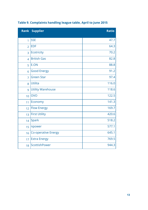|                | <b>Rank Supplier</b>       | <b>Ratio</b> |
|----------------|----------------------------|--------------|
| $\overline{1}$ | <b>SSE</b>                 | 47.7         |
| $\overline{2}$ | <b>EDF</b>                 | 64.3         |
| 3              | <b>Ecotricity</b>          | 70.2         |
| $\overline{4}$ | <b>British Gas</b>         | 82.8         |
| 5              | E.ON                       | 88.8         |
| 6              | <b>Good Energy</b>         | 91.2         |
| $\overline{7}$ | <b>Green Star</b>          | 97.4         |
| 8              | Utilita                    | 116.0        |
| 9              | <b>Utility Warehouse</b>   | 118.6        |
| 10             | <b>OVO</b>                 | 122.5        |
| 11             | Economy                    | 141.3        |
| 12             | <b>Flow Energy</b>         | 169.7        |
| 13             | <b>First Utility</b>       | 420.6        |
| 14             | <b>Spark</b>               | 518.2        |
| 15             | npower                     | 577.1        |
| 16             | <b>Co-operative Energy</b> | 645.1        |
| 17             | <b>Extra Energy</b>        | 769.5        |
| 18             | ScottishPower              | 944.3        |

## <span id="page-13-0"></span>**Table 9. Complaints handling league table, April to June 2015**